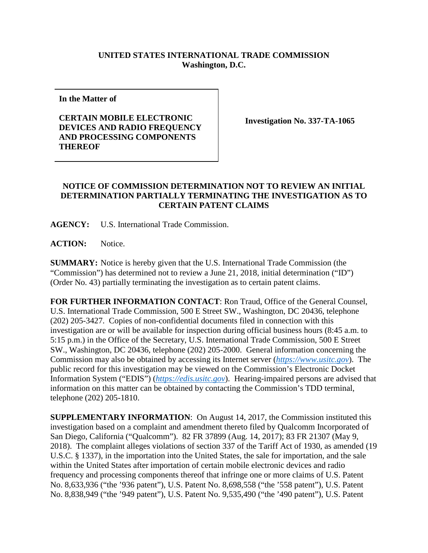## **UNITED STATES INTERNATIONAL TRADE COMMISSION Washington, D.C.**

**In the Matter of**

## **CERTAIN MOBILE ELECTRONIC DEVICES AND RADIO FREQUENCY AND PROCESSING COMPONENTS THEREOF**

**Investigation No. 337-TA-1065**

## **NOTICE OF COMMISSION DETERMINATION NOT TO REVIEW AN INITIAL DETERMINATION PARTIALLY TERMINATING THE INVESTIGATION AS TO CERTAIN PATENT CLAIMS**

**AGENCY:** U.S. International Trade Commission.

**ACTION:** Notice.

**SUMMARY:** Notice is hereby given that the U.S. International Trade Commission (the "Commission") has determined not to review a June 21, 2018, initial determination ("ID") (Order No. 43) partially terminating the investigation as to certain patent claims.

**FOR FURTHER INFORMATION CONTACT**: Ron Traud, Office of the General Counsel, U.S. International Trade Commission, 500 E Street SW., Washington, DC 20436, telephone (202) 205-3427. Copies of non-confidential documents filed in connection with this investigation are or will be available for inspection during official business hours (8:45 a.m. to 5:15 p.m.) in the Office of the Secretary, U.S. International Trade Commission, 500 E Street SW., Washington, DC 20436, telephone (202) 205-2000. General information concerning the Commission may also be obtained by accessing its Internet server (*[https://www.usitc.gov](https://www.usitc.gov/)*). The public record for this investigation may be viewed on the Commission's Electronic Docket Information System ("EDIS") (*[https://edis.usitc.gov](https://edis.usitc.gov/)*). Hearing-impaired persons are advised that information on this matter can be obtained by contacting the Commission's TDD terminal, telephone (202) 205-1810.

**SUPPLEMENTARY INFORMATION**: On August 14, 2017, the Commission instituted this investigation based on a complaint and amendment thereto filed by Qualcomm Incorporated of San Diego, California ("Qualcomm"). 82 FR 37899 (Aug. 14, 2017); 83 FR 21307 (May 9, 2018). The complaint alleges violations of section 337 of the Tariff Act of 1930, as amended (19 U.S.C. § 1337), in the importation into the United States, the sale for importation, and the sale within the United States after importation of certain mobile electronic devices and radio frequency and processing components thereof that infringe one or more claims of U.S. Patent No. 8,633,936 ("the '936 patent"), U.S. Patent No. 8,698,558 ("the '558 patent"), U.S. Patent No. 8,838,949 ("the '949 patent"), U.S. Patent No. 9,535,490 ("the '490 patent"), U.S. Patent